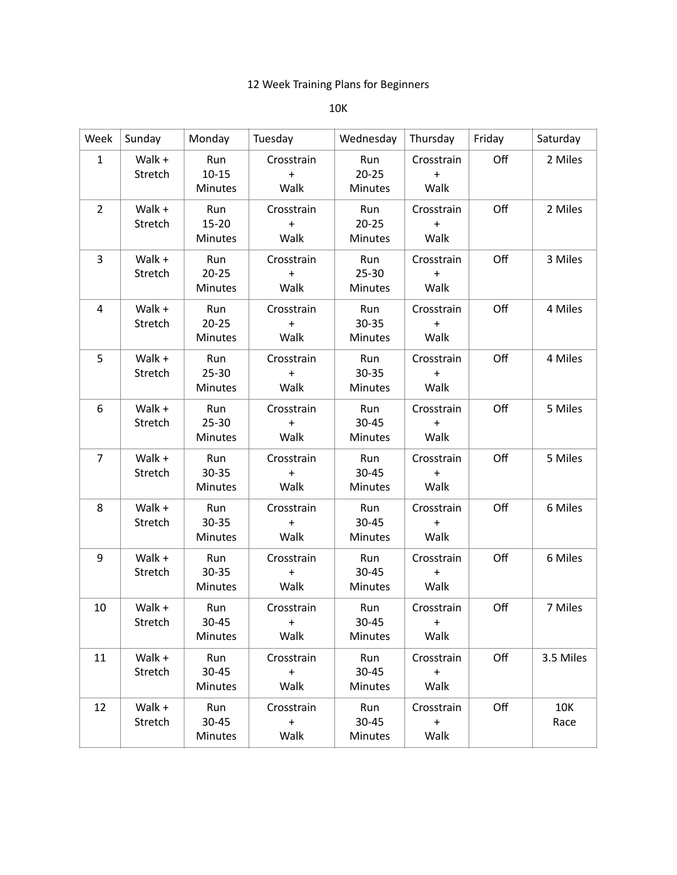## 12 Week Training Plans for Beginners

## 10K

| Week           | Sunday            | Monday                             | Tuesday                         | Wednesday                          | Thursday                        | Friday | Saturday    |
|----------------|-------------------|------------------------------------|---------------------------------|------------------------------------|---------------------------------|--------|-------------|
| $\mathbf{1}$   | Walk +<br>Stretch | Run<br>$10 - 15$<br>Minutes        | Crosstrain<br>$\ddot{}$<br>Walk | Run<br>$20 - 25$<br>Minutes        | Crosstrain<br>$\ddot{}$<br>Walk | Off    | 2 Miles     |
| $\overline{2}$ | Walk +<br>Stretch | Run<br>$15 - 20$<br>Minutes        | Crosstrain<br>$\ddot{}$<br>Walk | Run<br>$20 - 25$<br><b>Minutes</b> | Crosstrain<br>$\ddot{}$<br>Walk | Off    | 2 Miles     |
| 3              | Walk +<br>Stretch | Run<br>$20 - 25$<br><b>Minutes</b> | Crosstrain<br>$+$<br>Walk       | Run<br>25-30<br><b>Minutes</b>     | Crosstrain<br>$\ddot{}$<br>Walk | Off    | 3 Miles     |
| 4              | Walk +<br>Stretch | Run<br>$20 - 25$<br>Minutes        | Crosstrain<br>$+$<br>Walk       | Run<br>30-35<br><b>Minutes</b>     | Crosstrain<br>$\ddot{}$<br>Walk | Off    | 4 Miles     |
| 5              | Walk +<br>Stretch | Run<br>$25 - 30$<br><b>Minutes</b> | Crosstrain<br>$+$<br>Walk       | Run<br>30-35<br>Minutes            | Crosstrain<br>$\ddot{}$<br>Walk | Off    | 4 Miles     |
| 6              | Walk +<br>Stretch | Run<br>$25 - 30$<br>Minutes        | Crosstrain<br>$+$<br>Walk       | Run<br>$30 - 45$<br>Minutes        | Crosstrain<br>$\ddot{}$<br>Walk | Off    | 5 Miles     |
| $\overline{7}$ | Walk +<br>Stretch | Run<br>30-35<br>Minutes            | Crosstrain<br>$+$<br>Walk       | Run<br>30-45<br><b>Minutes</b>     | Crosstrain<br>$\ddot{}$<br>Walk | Off    | 5 Miles     |
| 8              | Walk +<br>Stretch | Run<br>30-35<br>Minutes            | Crosstrain<br>$+$<br>Walk       | Run<br>30-45<br><b>Minutes</b>     | Crosstrain<br>$\ddot{}$<br>Walk | Off    | 6 Miles     |
| 9              | Walk +<br>Stretch | Run<br>30-35<br>Minutes            | Crosstrain<br>$\ddot{}$<br>Walk | Run<br>30-45<br><b>Minutes</b>     | Crosstrain<br>$\ddot{}$<br>Walk | Off    | 6 Miles     |
| 10             | Walk +<br>Stretch | Run<br>30-45<br>Minutes            | Crosstrain<br>$+$<br>Walk       | Run<br>30-45<br><b>Minutes</b>     | Crosstrain<br>$+$<br>Walk       | Off    | 7 Miles     |
| 11             | Walk +<br>Stretch | Run<br>30-45<br><b>Minutes</b>     | Crosstrain<br>$+$<br>Walk       | Run<br>30-45<br>Minutes            | Crosstrain<br>$\ddot{}$<br>Walk | Off    | 3.5 Miles   |
| 12             | Walk +<br>Stretch | Run<br>$30 - 45$<br>Minutes        | Crosstrain<br>$+$<br>Walk       | Run<br>$30 - 45$<br>Minutes        | Crosstrain<br>$+$<br>Walk       | Off    | 10K<br>Race |